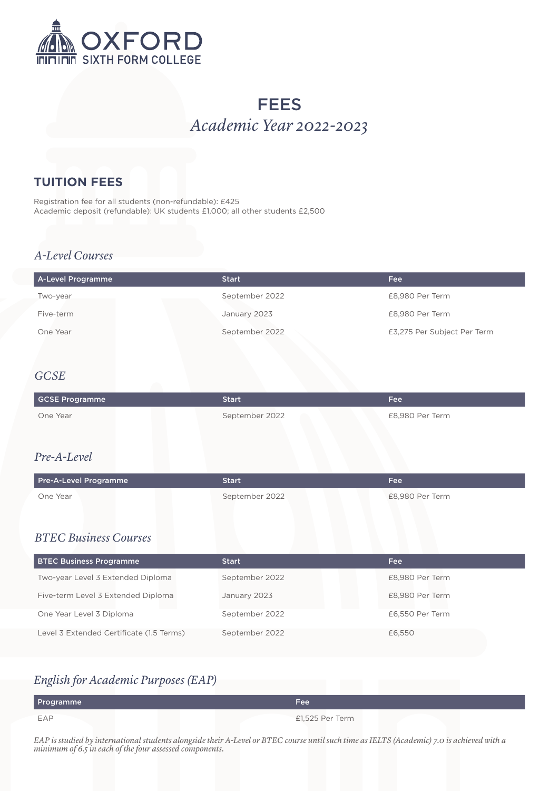

# **FEES** *Academic Year 2022-2023*

### **TUITION FEES**

Registration fee for all students (non-refundable): £425 Academic deposit (refundable): UK students £1,000; all other students £2,500

#### *A-Level Courses*

| A-Level Programme | <b>Start</b>   | Fee                         |
|-------------------|----------------|-----------------------------|
| Two-year          | September 2022 | £8,980 Per Term             |
| Five-term         | January 2023   | £8,980 Per Term             |
| One Year          | September 2022 | £3,275 Per Subject Per Term |

#### *GCSE*

| <b>GCSE Programme</b>                    | <b>Start</b>   | <b>Fee</b>      |
|------------------------------------------|----------------|-----------------|
| One Year                                 | September 2022 | £8,980 Per Term |
|                                          |                |                 |
| Pre-A-Level                              |                |                 |
| Pre-A-Level Programme                    | <b>Start</b>   | Fee             |
| One Year                                 | September 2022 | £8,980 Per Term |
|                                          |                |                 |
| <b>BTEC Business Courses</b>             |                |                 |
| <b>BTEC Business Programme</b>           | <b>Start</b>   | <b>Fee</b>      |
| Two-year Level 3 Extended Diploma        | September 2022 | £8,980 Per Term |
| Five-term Level 3 Extended Diploma       | January 2023   | £8,980 Per Term |
| One Year Level 3 Diploma                 | September 2022 | £6,550 Per Term |
| Level 3 Extended Certificate (1.5 Terms) | September 2022 | £6,550          |

# *English for Academic Purposes (EAP)*

| Programme | Fee             |
|-----------|-----------------|
| EAP       | £1,525 Per Term |

*EAP is studied by international students alongside their A-Level or BTEC course until such time as IELTS (Academic) 7.0 is achieved with a minimum of 6.5 in each of the four assessed components.*